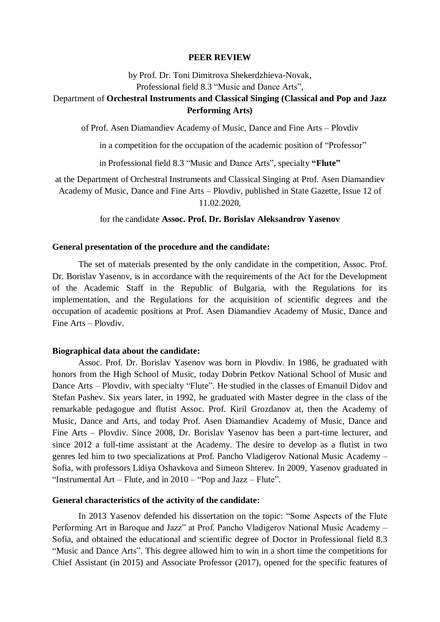#### **PEER REVIEW**

by Prof. Dr. Toni Dimitrova Shekerdzhieva-Novak, Professional field 8.3 "Music and Dance Arts",

# Department of **Orchestral Instruments and Classical Singing (Classical and Pop and Jazz Performing Arts)**

of Prof. Asen Diamandiev Academy of Music, Dance and Fine Arts – Plovdiv

in a competition for the occupation of the academic position of "Professor"

in Professional field 8.3 "Music and Dance Arts", specialty **"Flute"**

at the Department of Orchestral Instruments and Classical Singing at Prof. Asen Diamandiev Academy of Music, Dance and Fine Arts – Plovdiv, published in State Gazette, Issue 12 of 11.02.2020,

for the candidate **Assoc. Prof. Dr. Borislav Aleksandrov Yasenov**

#### **General presentation of the procedure and the candidate:**

The set of materials presented by the only candidate in the competition, Assoc. Prof. Dr. Borislav Yasenov, is in accordance with the requirements of the Act for the Development of the Academic Staff in the Republic of Bulgaria, with the Regulations for its implementation, and the Regulations for the acquisition of scientific degrees and the occupation of academic positions at Prof. Asen Diamandiev Academy of Music, Dance and Fine Arts – Plovdiv.

#### **Biographical data about the candidate:**

Assoc. Prof. Dr. Borislav Yasenov was born in Plovdiv. In 1986, he graduated with honors from the High School of Music, today Dobrin Petkov National School of Music and Dance Arts – Plovdiv, with specialty "Flute". He studied in the classes of Emanuil Didov and Stefan Pashev. Six years later, in 1992, he graduated with Master degree in the class of the remarkable pedagogue and flutist Assoc. Prof. Kiril Grozdanov at, then the Academy of Music, Dance and Arts, and today Prof. Asen Diamandiev Academy of Music, Dance and Fine Arts – Plovdiv. Since 2008, Dr. Borislav Yasenov has been a part-time lecturer, and since 2012 a full-time assistant at the Academy. The desire to develop as a flutist in two genres led him to two specializations at Prof. Pancho Vladigerov National Music Academy – Sofia, with professors Lidiya Oshavkova and Simeon Shterev. In 2009, Yasenov graduated in "Instrumental Art – Flute, and in 2010 – "Pop and Jazz – Flute".

### **General characteristics of the activity of the candidate:**

In 2013 Yasenov defended his dissertation on the topic: "Some Aspects of the Flute Performing Art in Baroque and Jazz" at Prof. Pancho Vladigerov National Music Academy – Sofia, and obtained the educational and scientific degree of Doctor in Professional field 8.3 "Music and Dance Arts". This degree allowed him to win in a short time the competitions for Chief Assistant (in 2015) and Associate Professor (2017), opened for the specific features of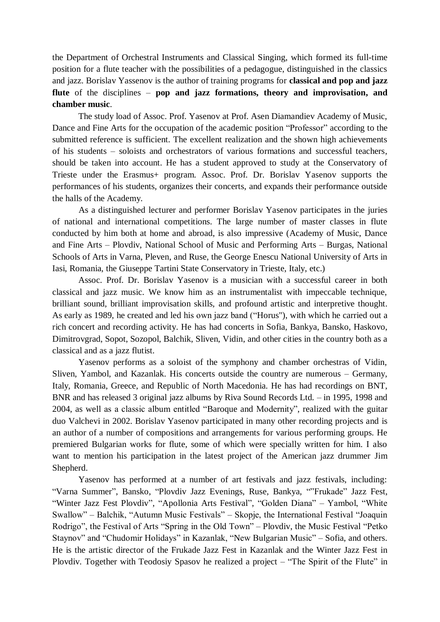the Department of Orchestral Instruments and Classical Singing, which formed its full-time position for a flute teacher with the possibilities of a pedagogue, distinguished in the classics and jazz. Borislav Yassenov is the author of training programs for **classical and pop and jazz flute** of the disciplines – **pop and jazz formations, theory and improvisation, and chamber music**.

The study load of Assoc. Prof. Yasenov at Prof. Asen Diamandiev Academy of Music, Dance and Fine Arts for the occupation of the academic position "Professor" according to the submitted reference is sufficient. The excellent realization and the shown high achievements of his students – soloists and orchestrators of various formations and successful teachers, should be taken into account. He has a student approved to study at the Conservatory of Trieste under the Erasmus+ program. Assoc. Prof. Dr. Borislav Yasenov supports the performances of his students, organizes their concerts, and expands their performance outside the halls of the Academy.

As a distinguished lecturer and performer Borislav Yasenov participates in the juries of national and international competitions. The large number of master classes in flute conducted by him both at home and abroad, is also impressive (Academy of Music, Dance and Fine Arts – Plovdiv, National School of Music and Performing Arts – Burgas, National Schools of Arts in Varna, Pleven, and Ruse, the George Enescu National University of Arts in Iasi, Romania, the Giuseppe Tartini State Conservatory in Trieste, Italy, etc.)

Assoc. Prof. Dr. Borislav Yasenov is a musician with a successful career in both classical and jazz music. We know him as an instrumentalist with impeccable technique, brilliant sound, brilliant improvisation skills, and profound artistic and interpretive thought. As early as 1989, he created and led his own jazz band ("Horus"), with which he carried out a rich concert and recording activity. He has had concerts in Sofia, Bankya, Bansko, Haskovo, Dimitrovgrad, Sopot, Sozopol, Balchik, Sliven, Vidin, and other cities in the country both as a classical and as a jazz flutist.

Yasenov performs as a soloist of the symphony and chamber orchestras of Vidin, Sliven, Yambol, and Kazanlak. His concerts outside the country are numerous – Germany, Italy, Romania, Greece, and Republic of North Macedonia. He has had recordings on BNT, BNR and has released 3 original jazz albums by Riva Sound Records Ltd. – in 1995, 1998 and 2004, as well as a classic album entitled "Baroque and Modernity", realized with the guitar duo Valchevi in 2002. Borislav Yasenov participated in many other recording projects and is an author of a number of compositions and arrangements for various performing groups. He premiered Bulgarian works for flute, some of which were specially written for him. I also want to mention his participation in the latest project of the American jazz drummer Jim Shepherd.

Yasenov has performed at a number of art festivals and jazz festivals, including: "Varna Summer", Bansko, "Plovdiv Jazz Evenings, Ruse, Bankya, ""Frukade" Jazz Fest, "Winter Jazz Fest Plovdiv", "Apollonia Arts Festival", "Golden Diana" – Yambol, "White Swallow" – Balchik, "Autumn Music Festivals" – Skopje, the International Festival "Joaquin Rodrigo", the Festival of Arts "Spring in the Old Town" – Plovdiv, the Music Festival "Petko Staynov" and "Chudomir Holidays" in Kazanlak, "New Bulgarian Music" – Sofia, and others. He is the artistic director of the Frukade Jazz Fest in Kazanlak and the Winter Jazz Fest in Plovdiv. Together with Teodosiy Spasov he realized a project – "The Spirit of the Flute" in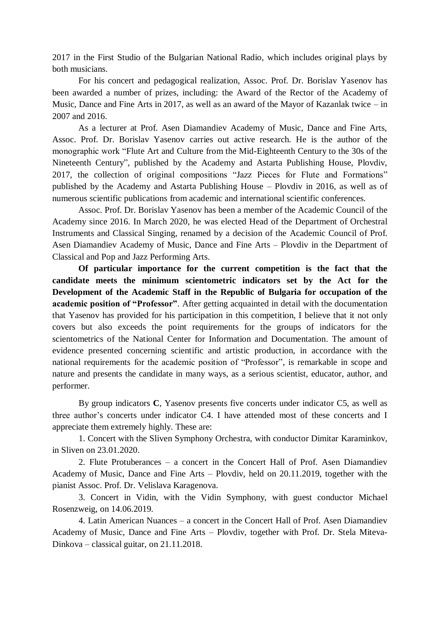2017 in the First Studio of the Bulgarian National Radio, which includes original plays by both musicians.

For his concert and pedagogical realization, Assoc. Prof. Dr. Borislav Yasenov has been awarded a number of prizes, including: the Award of the Rector of the Academy of Music, Dance and Fine Arts in 2017, as well as an award of the Mayor of Kazanlak twice – in 2007 and 2016.

As a lecturer at Prof. Asen Diamandiev Academy of Music, Dance and Fine Arts, Assoc. Prof. Dr. Borislav Yasenov carries out active research. He is the author of the monographic work "Flute Art and Culture from the Mid-Eighteenth Century to the 30s of the Nineteenth Century", published by the Academy and Astarta Publishing House, Plovdiv, 2017, the collection of original compositions "Jazz Pieces for Flute and Formations" published by the Academy and Astarta Publishing House – Plovdiv in 2016, as well as of numerous scientific publications from academic and international scientific conferences.

Assoc. Prof. Dr. Borislav Yasenov has been a member of the Academic Council of the Academy since 2016. In March 2020, he was elected Head of the Department of Orchestral Instruments and Classical Singing, renamed by a decision of the Academic Council of Prof. Asen Diamandiev Academy of Music, Dance and Fine Arts – Plovdiv in the Department of Classical and Pop and Jazz Performing Arts.

**Of particular importance for the current competition is the fact that the candidate meets the minimum scientometric indicators set by the Act for the Development of the Academic Staff in the Republic of Bulgaria for occupation of the academic position of "Professor"**. After getting acquainted in detail with the documentation that Yasenov has provided for his participation in this competition, I believe that it not only covers but also exceeds the point requirements for the groups of indicators for the scientometrics of the National Center for Information and Documentation. The amount of evidence presented concerning scientific and artistic production, in accordance with the national requirements for the academic position of "Professor", is remarkable in scope and nature and presents the candidate in many ways, as a serious scientist, educator, author, and performer.

By group indicators **C**, Yasenov presents five concerts under indicator C5, as well as three author's concerts under indicator C4. I have attended most of these concerts and I appreciate them extremely highly. These are:

1. Concert with the Sliven Symphony Orchestra, with conductor Dimitar Karaminkov, in Sliven on 23.01.2020.

2. Flute Protuberances – a concert in the Concert Hall of Prof. Asen Diamandiev Academy of Music, Dance and Fine Arts – Plovdiv, held on 20.11.2019, together with the pianist Assoc. Prof. Dr. Velislava Karagenova.

3. Concert in Vidin, with the Vidin Symphony, with guest conductor Michael Rosenzweig, on 14.06.2019.

4. Latin American Nuances – a concert in the Concert Hall of Prof. Asen Diamandiev Academy of Music, Dance and Fine Arts – Plovdiv, together with Prof. Dr. Stela Miteva-Dinkova – classical guitar, on 21.11.2018.